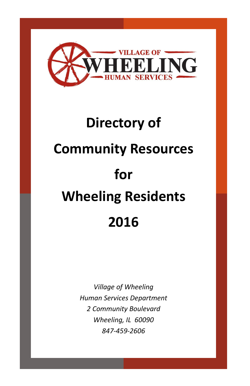

# **Directory of Community Resources for Wheeling Residents 2016**

*Village of Wheeling Human Services Department 2 Community Boulevard Wheeling, IL 60090 847-459-2606*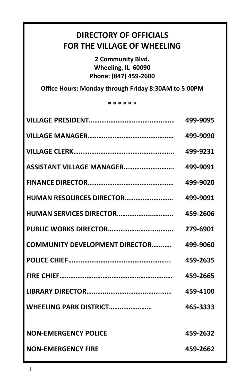# **DIRECTORY OF OFFICIALS FOR THE VILLAGE OF WHEELING**

**2 Community Blvd. Wheeling, IL 60090 Phone: (847) 459-2600**

**Office Hours: Monday through Friday 8:30AM to 5:00PM**

### **\* \* \* \* \* \***

|                                       | 499-9095 |
|---------------------------------------|----------|
|                                       | 499-9090 |
|                                       | 499-9231 |
| ASSISTANT VILLAGE MANAGER             | 499-9091 |
|                                       | 499-9020 |
| <b>HUMAN RESOURCES DIRECTOR</b>       | 499-9091 |
| <b>HUMAN SERVICES DIRECTOR</b>        | 459-2606 |
|                                       | 279-6901 |
| <b>COMMUNITY DEVELOPMENT DIRECTOR</b> | 499-9060 |
|                                       | 459-2635 |
|                                       | 459-2665 |
|                                       | 459-4100 |
| WHEELING PARK DISTRICT                | 465-3333 |
|                                       |          |
| <b>NON-EMERGENCY POLICE</b>           | 459-2632 |
| <b>NON-FMERGENCY FIRE</b>             | 459-2662 |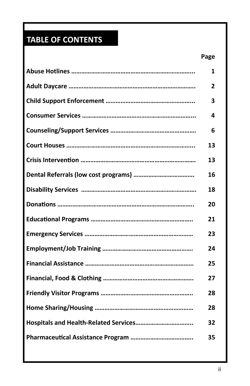# **TABLE OF CONTENTS**

| 1  |
|----|
| 2  |
| 3  |
| 4  |
| 6  |
| 13 |
| 13 |
| 16 |
| 18 |
| 20 |
| 21 |
| 23 |
| 24 |
| 25 |
| 27 |
| 28 |
| 28 |
| 32 |
| 35 |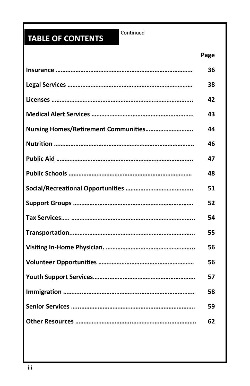# **TABLE OF CONTENTS**

Continued

|                                      | Page |
|--------------------------------------|------|
|                                      | 36   |
|                                      | 38   |
|                                      | 42   |
|                                      | 43   |
| Nursing Homes/Retirement Communities | 44   |
|                                      | 46   |
|                                      | 47   |
|                                      | 48   |
|                                      | 51   |
|                                      | 52   |
|                                      | 54   |
|                                      | 55   |
|                                      | 56   |
|                                      | 56   |
|                                      | 57   |
|                                      | 58   |
|                                      | 59   |
|                                      | 62   |
|                                      |      |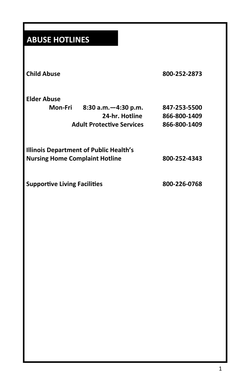# **ABUSE HOTLINES**

| <b>Child Abuse</b>                                                                      | 800-252-2873                                                   |
|-----------------------------------------------------------------------------------------|----------------------------------------------------------------|
| <b>Elder Abuse</b><br>Mon-Fri 8:30 a.m. - 4:30 p.m.<br><b>Adult Protective Services</b> | 847-253-5500<br>24-hr. Hotline<br>866-800-1409<br>866-800-1409 |
| <b>Illinois Department of Public Health's</b><br><b>Nursing Home Complaint Hotline</b>  | 800-252-4343                                                   |
| <b>Supportive Living Facilities</b>                                                     | 800-226-0768                                                   |
|                                                                                         |                                                                |
|                                                                                         |                                                                |
|                                                                                         |                                                                |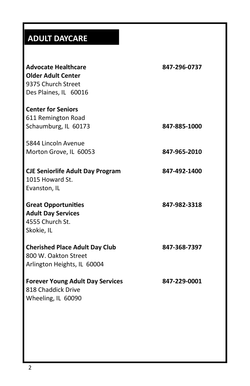# **ADULT DAYCARE**

| <b>Advocate Healthcare</b><br><b>Older Adult Center</b><br>9375 Church Street<br>Des Plaines, IL 60016 | 847-296-0737 |
|--------------------------------------------------------------------------------------------------------|--------------|
| <b>Center for Seniors</b><br>611 Remington Road                                                        |              |
| Schaumburg, IL 60173                                                                                   | 847-885-1000 |
| 5844 Lincoln Avenue                                                                                    |              |
| Morton Grove, IL 60053                                                                                 | 847-965-2010 |
| <b>CJE Seniorlife Adult Day Program</b><br>1015 Howard St.<br>Evanston, IL                             | 847-492-1400 |
| <b>Great Opportunities</b><br><b>Adult Day Services</b><br>4555 Church St.<br>Skokie, IL               | 847-982-3318 |
| <b>Cherished Place Adult Day Club</b><br>800 W. Oakton Street<br>Arlington Heights, IL 60004           | 847-368-7397 |
| <b>Forever Young Adult Day Services</b><br>818 Chaddick Drive<br>Wheeling, IL 60090                    | 847-229-0001 |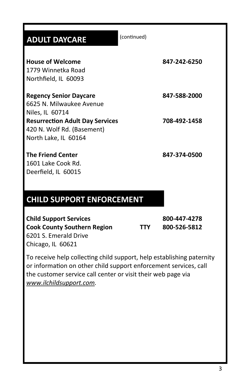| <b>ADULT DAYCARE</b>                   | (continued) |              |
|----------------------------------------|-------------|--------------|
|                                        |             |              |
| <b>House of Welcome</b>                |             | 847-242-6250 |
| 1779 Winnetka Road                     |             |              |
| Northfield, IL 60093                   |             |              |
| <b>Regency Senior Daycare</b>          |             | 847-588-2000 |
| 6625 N. Milwaukee Avenue               |             |              |
| Niles, IL 60714                        |             |              |
| <b>Resurrection Adult Day Services</b> |             | 708-492-1458 |
| 420 N. Wolf Rd. (Basement)             |             |              |
| North Lake, IL 60164                   |             |              |
| <b>The Friend Center</b>               |             | 847-374-0500 |
| 1601 Lake Cook Rd.                     |             |              |
| Deerfield, IL 60015                    |             |              |
|                                        |             |              |
|                                        |             |              |
| <b>CHILD SUPPORT ENFORCEMENT</b>       |             |              |
|                                        |             |              |

**Child Support Services 800-447-4278 Cook County Southern Region TTY 800-526-5812** 6201 S. Emerald Drive Chicago, IL 60621

To receive help collecting child support, help establishing paternity or information on other child support enforcement services, call the customer service call center or visit their web page via *[www.ilchildsupport.com.](http://www.ilchildsupport.com/)*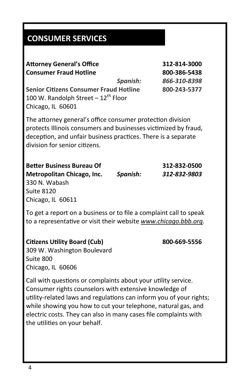# **CONSUMER SERVICES**

| <b>Attorney General's Office</b>                                                                                                                                                                                                |          | 312-814-3000 |
|---------------------------------------------------------------------------------------------------------------------------------------------------------------------------------------------------------------------------------|----------|--------------|
| <b>Consumer Fraud Hotline</b>                                                                                                                                                                                                   |          | 800-386-5438 |
|                                                                                                                                                                                                                                 | Spanish: | 866-310-8398 |
| <b>Senior Citizens Consumer Fraud Hotline</b><br>100 W. Randolph Street - 12 <sup>th</sup> Floor<br>Chicago, IL 60601                                                                                                           |          | 800-243-5377 |
| The attorney general's office consumer protection division<br>protects Illinois consumers and businesses victimized by fraud,<br>deception, and unfair business practices. There is a separate<br>division for senior citizens. |          |              |

**Better Business Bureau Of 312-832-0500 Metropolitan Chicago, Inc.** *Spanish: 312-832-9803* 330 N. Wabash Suite 8120 Chicago, IL 60611

To get a report on a business or to file a complaint call to speak to a representative or visit their website *[www.chicago.bbb.org.](http://www.chicago.bbb.org/)*

### **Citizens Utility Board (Cub) 800-669-5556**

309 W. Washington Boulevard Suite 800 Chicago, IL 60606

Call with questions or complaints about your utility service. Consumer rights counselors with extensive knowledge of utility-related laws and regulations can inform you of your rights; while showing you how to cut your telephone, natural gas, and electric costs. They can also in many cases file complaints with the utilities on your behalf.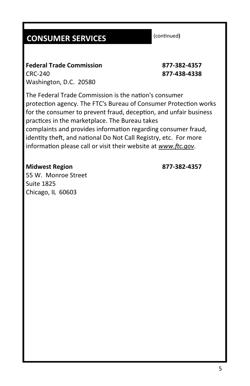# **CONSUMER SERVICES**

(continued**)**

**Federal Trade Commission 877-382-4357** CRC-240 **877-438-4338** Washington, D.C. 20580

The Federal Trade Commission is the nation's consumer protection agency. The FTC's Bureau of Consumer Protection works for the consumer to prevent fraud, deception, and unfair business practices in the marketplace. The Bureau takes complaints and provides information regarding consumer fraud, identity theft, and national Do Not Call Registry, etc. For more information please call or visit their website at *[www.ftc.gov](http://www.ftc.gov/)*.

### **Midwest Region 877-382-4357**

55 W. Monroe Street Suite 1825 Chicago, IL 60603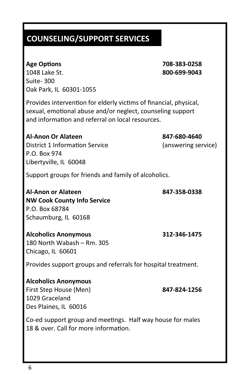1048 Lake St. **800-699-9043** Suite- 300 Oak Park, IL 60301-1055

**Age Options 708-383-0258**

Provides intervention for elderly victims of financial, physical, sexual, emotional abuse and/or neglect, counseling support and information and referral on local resources.

**Al-Anon Or Alateen 847-680-4640** District 1 Information Service (answering service) P.O. Box 974 Libertyville, IL 60048 Support groups for friends and family of alcoholics.

**Al-Anon or Alateen 847-358-0338 NW Cook County Info Service** P.O. Box 68784 Schaumburg, IL 60168

**Alcoholics Anonymous 312-346-1475** 180 North Wabash – Rm. 305 Chicago, IL 60601

Provides support groups and referrals for hospital treatment.

**Alcoholics Anonymous** First Step House (Men) **847-824-1256** 1029 Graceland Des Plaines, IL 60016

Co-ed support group and meetings. Half way house for males 18 & over. Call for more information.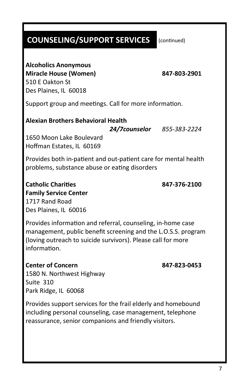(continued)

### **Alcoholics Anonymous**

**Miracle House (Women) 847-803-2901** 510 E Oakton St Des Plaines, IL 60018

Support group and meetings. Call for more information.

### **Alexian Brothers Behavioral Health**

*24/7counselor 855-383-2224*

1650 Moon Lake Boulevard Hoffman Estates, IL 60169

Provides both in-patient and out-patient care for mental health problems, substance abuse or eating disorders

**Catholic Charities 847-376-2100 Family Service Center** 1717 Rand Road Des Plaines, IL 60016

Provides information and referral, counseling, in-home case management, public benefit screening and the L.O.S.S. program (loving outreach to suicide survivors). Please call for more information.

**Center of Concern 847-823-0453** 1580 N. Northwest Highway Suite 310 Park Ridge, IL 60068

Provides support services for the frail elderly and homebound including personal counseling, case management, telephone reassurance, senior companions and friendly visitors.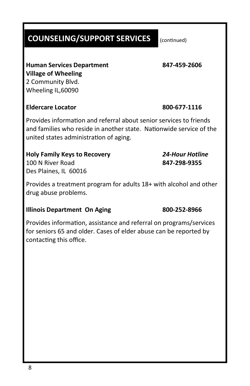8

# **COUNSELING/SUPPORT SERVICES**

**Human Services Department 847-459-2606 Village of Wheeling**  2 Community Blvd. Wheeling IL,60090

### **Eldercare Locator 800-677-1116**

Provides information and referral about senior services to friends and families who reside in another state. Nationwide service of the united states administration of aging.

### **Holy Family Keys to Recovery** *24-Hour Hotline* 100 N River Road **847-298-9355** Des Plaines, IL 60016

Provides a treatment program for adults 18+ with alcohol and other drug abuse problems.

### **Illinois Department On Aging 800-252-8966**

Provides information, assistance and referral on programs/services for seniors 65 and older. Cases of elder abuse can be reported by contacting this office.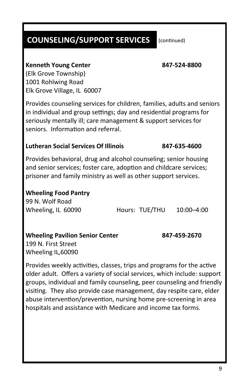### (continued)

### **Kenneth Young Center 847-524-8800**

(Elk Grove Township) 1001 Rohlwing Road Elk Grove Village, IL 60007

Provides counseling services for children, families, adults and seniors in individual and group settings; day and residential programs for seriously mentally ill; care management & support services for seniors. Information and referral.

### **Lutheran Social Services Of Illinois 847-635-4600**

Provides behavioral, drug and alcohol counseling; senior housing and senior services; foster care, adoption and childcare services; prisoner and family ministry as well as other support services.

### **Wheeling Food Pantry**

99 N. Wolf Road

Wheeling, IL 60090 Hours: TUE/THU 10:00–4:00

### **Wheeling Pavilion Senior Center 847-459-2670**

199 N. First Street Wheeling IL,60090

Provides weekly activities, classes, trips and programs for the active older adult. Offers a variety of social services, which include: support groups, individual and family counseling, peer counseling and friendly visiting. They also provide case management, day respite care, elder abuse intervention/prevention, nursing home pre-screening in area hospitals and assistance with Medicare and income tax forms.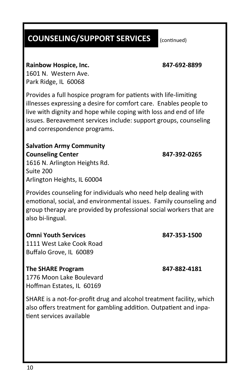### **Rainbow Hospice, Inc. 847-692-8899**

1601 N. Western Ave. Park Ridge, IL 60068

Provides a full hospice program for patients with life-limiting illnesses expressing a desire for comfort care. Enables people to live with dignity and hope while coping with loss and end of life issues. Bereavement services include: support groups, counseling and correspondence programs.

### **Salvation Army Community Counseling Center 847-392-0265**

1616 N. Arlington Heights Rd. Suite 200 Arlington Heights, IL 60004

Provides counseling for individuals who need help dealing with emotional, social, and environmental issues. Family counseling and group therapy are provided by professional social workers that are also bi-lingual.

### **Omni Youth Services 847-353-1500**

1111 West Lake Cook Road Buffalo Grove, IL 60089

### **The SHARE Program 847-882-4181**

1776 Moon Lake Boulevard Hoffman Estates, IL 60169

SHARE is a not-for-profit drug and alcohol treatment facility, which also offers treatment for gambling addition. Outpatient and inpatient services available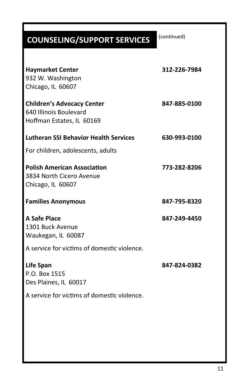| 312-226-7984 |
|--------------|
| 847-885-0100 |
| 630-993-0100 |
|              |
| 773-282-8206 |
| 847-795-8320 |
| 847-249-4450 |
|              |
| 847-824-0382 |
|              |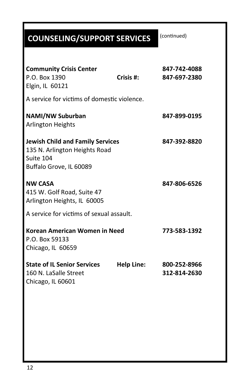| <b>Community Crisis Center</b><br>P.O. Box 1390<br>Elgin, IL 60121                                                      | Crisis $#$ :      | 847-742-4088<br>847-697-2380 |
|-------------------------------------------------------------------------------------------------------------------------|-------------------|------------------------------|
| A service for victims of domestic violence.                                                                             |                   |                              |
| <b>NAMI/NW Suburban</b><br><b>Arlington Heights</b>                                                                     |                   | 847-899-0195                 |
| <b>Jewish Child and Family Services</b><br>135 N. Arlington Heights Road<br>Suite 104<br>Buffalo Grove, IL 60089        |                   | 847-392-8820                 |
| <b>NW CASA</b><br>415 W. Golf Road, Suite 47<br>Arlington Heights, IL 60005<br>A service for victims of sexual assault. |                   | 847-806-6526                 |
| Korean American Women in Need<br>P.O. Box 59133<br>Chicago, IL 60659                                                    |                   | 773-583-1392                 |
| <b>State of IL Senior Services</b><br>160 N. LaSalle Street<br>Chicago, IL 60601                                        | <b>Help Line:</b> | 800-252-8966<br>312-814-2630 |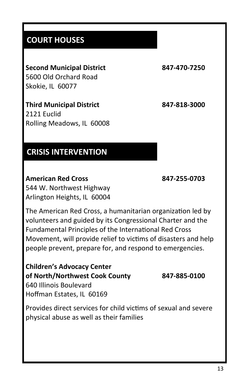## **COURT HOUSES**

# **Second Municipal District 847-470-7250**

5600 Old Orchard Road Skokie, IL 60077

**Third Municipal District 847-818-3000** 2121 Euclid Rolling Meadows, IL 60008

## **CRISIS INTERVENTION**

### **American Red Cross 847-255-0703** 544 W. Northwest Highway Arlington Heights, IL 60004

The American Red Cross, a humanitarian organization led by volunteers and guided by its Congressional Charter and the Fundamental Principles of the International Red Cross Movement, will provide relief to victims of disasters and help people prevent, prepare for, and respond to emergencies.

**Children's Advocacy Center of North/Northwest Cook County 847-885-0100** 640 Illinois Boulevard Hoffman Estates, IL 60169

Provides direct services for child victims of sexual and severe physical abuse as well as their families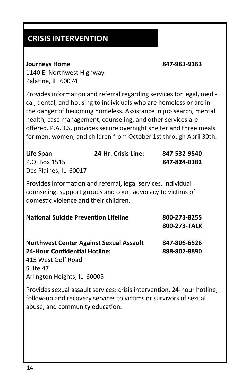# **CRISIS INTERVENTION**

### **Journeys Home 847-963-9163**

1140 E. Northwest Highway Palatine, IL 60074

Provides information and referral regarding services for legal, medical, dental, and housing to individuals who are homeless or are in the danger of becoming homeless. Assistance in job search, mental health, case management, counseling, and other services are offered. P.A.D.S. provides secure overnight shelter and three meals for men, women, and children from October 1st through April 30th.

| Life Span             | <b>24-Hr. Crisis Line:</b> | 847-532-9540 |
|-----------------------|----------------------------|--------------|
| P.O. Box 1515         |                            | 847-824-0382 |
| Des Plaines, IL 60017 |                            |              |

Provides information and referral, legal services, individual counseling, support groups and court advocacy to victims of domestic violence and their children.

| <b>National Suicide Prevention Lifeline</b>    | 800-273-8255 |
|------------------------------------------------|--------------|
|                                                | 800-273-TALK |
| <b>Northwest Center Against Sexual Assault</b> | 847-806-6526 |
| <b>24-Hour Confidential Hotline:</b>           | 888-802-8890 |
|                                                |              |
| 415 West Golf Road                             |              |
| Suite 47                                       |              |
| Arlington Heights, IL 60005                    |              |

Provides sexual assault services: crisis intervention, 24-hour hotline, follow-up and recovery services to victims or survivors of sexual abuse, and community education.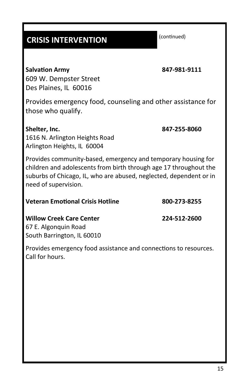# **CRISIS INTERVENTION**

**Salvation Army 847-981-9111**

609 W. Dempster Street Des Plaines, IL 60016

Provides emergency food, counseling and other assistance for those who qualify.

**Shelter, Inc. 847-255-8060** 1616 N. Arlington Heights Road Arlington Heights, IL 60004

Provides community-based, emergency and temporary housing for children and adolescents from birth through age 17 throughout the suburbs of Chicago, IL, who are abused, neglected, dependent or in need of supervision.

| <b>Veteran Emotional Crisis Hotline</b> | 800-273-8255 |
|-----------------------------------------|--------------|
|                                         |              |

**Willow Creek Care Center 224-512-2600** 67 E. Algonquin Road South Barrington, IL 60010

Provides emergency food assistance and connections to resources. Call for hours.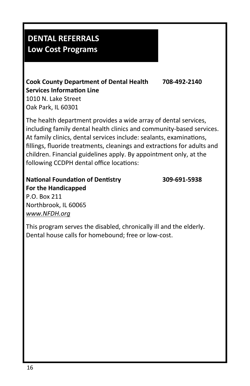# **DENTAL REFERRALS Low Cost Programs**

# **Cook County Department of Dental Health 708-492-2140 Services Information Line**

1010 N. Lake Street Oak Park, IL 60301

The health department provides a wide array of dental services, including family dental health clinics and community-based services. At family clinics, dental services include: sealants, examinations, fillings, fluoride treatments, cleanings and extractions for adults and children. Financial guidelines apply. By appointment only, at the following CCDPH dental office locations:

# **National Foundation of Dentistry 309-691-5938 For the Handicapped**

P.O. Box 211 Northbrook, IL 60065 *www.NFDH.org*

This program serves the disabled, chronically ill and the elderly. Dental house calls for homebound; free or low-cost.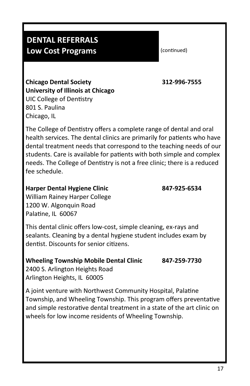# **DENTAL REFERRALS Low Cost Programs**

(continued)

**Chicago Dental Society 312-996-7555 University of Illinois at Chicago** UIC College of Dentistry 801 S. Paulina Chicago, IL

The College of Dentistry offers a complete range of dental and oral health services. The dental clinics are primarily for patients who have dental treatment needs that correspond to the teaching needs of our students. Care is available for patients with both simple and complex needs. The College of Dentistry is not a free clinic; there is a reduced fee schedule.

### **Harper Dental Hygiene Clinic 847-925-6534**

William Rainey Harper College 1200 W. Algonquin Road Palatine, IL 60067

This dental clinic offers low-cost, simple cleaning, ex-rays and sealants. Cleaning by a dental hygiene student includes exam by dentist. Discounts for senior citizens.

**Wheeling Township Mobile Dental Clinic 847-259-7730**

2400 S. Arlington Heights Road Arlington Heights, IL 60005

A joint venture with Northwest Community Hospital, Palatine Township, and Wheeling Township. This program offers preventative and simple restorative dental treatment in a state of the art clinic on wheels for low income residents of Wheeling Township.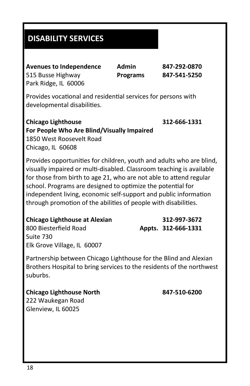# **DISABILITY SERVICES**

**Avenues to Independence Admin 847-292-0870** 515 Busse Highway **Programs 847-541-5250** Park Ridge, IL 60006

Provides vocational and residential services for persons with developmental disabilities.

### **Chicago Lighthouse 312-666-1331 For People Who Are Blind/Visually Impaired** 1850 West Roosevelt Road Chicago, IL 60608

Provides opportunities for children, youth and adults who are blind, visually impaired or multi-disabled. Classroom teaching is available for those from birth to age 21, who are not able to attend regular school. Programs are designed to optimize the potential for independent living, economic self-support and public information through promotion of the abilities of people with disabilities.

### **Chicago Lighthouse at Alexian 312-997-3672**

800 Biesterfield Road **Appts. 312-666-1331** Suite 730 Elk Grove Village, IL 60007

Partnership between Chicago Lighthouse for the Blind and Alexian Brothers Hospital to bring services to the residents of the northwest suburbs.

**Chicago Lighthouse North 847-510-6200** 222 Waukegan Road Glenview, IL 60025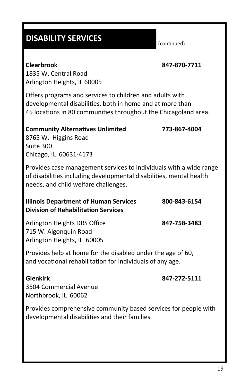## **DISABILITY SERVICES**

(continued)

### **Clearbrook 847-870-7711**

1835 W. Central Road Arlington Heights, IL 60005

Offers programs and services to children and adults with developmental disabilities, both in home and at more than 45 locations in 80 communities throughout the Chicagoland area.

### **Community Alternatives Unlimited 773-867-4004**

8765 W. Higgins Road Suite 300 Chicago, IL 60631-4173

Provides case management services to individuals with a wide range of disabilities including developmental disabilities, mental health needs, and child welfare challenges.

| <b>Illinois Department of Human Services</b> | 800-843-6154 |
|----------------------------------------------|--------------|
| <b>Division of Rehabilitation Services</b>   |              |

Arlington Heights DRS Office **847-758-3483** 715 W. Algonquin Road Arlington Heights, IL 60005

Provides help at home for the disabled under the age of 60, and vocational rehabilitation for individuals of any age.

### **Glenkirk 847-272-5111**

3504 Commercial Avenue Northbrook, IL 60062

Provides comprehensive community based services for people with developmental disabilities and their families.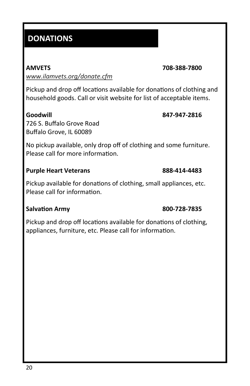# **DONATIONS**

*www.ilamvets.org/donate.cfm*

Pickup and drop off locations available for donations of clothing and household goods. Call or visit website for list of acceptable items.

### **Goodwill 847-947-2816**

726 S. Buffalo Grove Road Buffalo Grove, IL 60089

No pickup available, only drop off of clothing and some furniture. Please call for more information.

### **Purple Heart Veterans 888-414-4483**

Pickup available for donations of clothing, small appliances, etc. Please call for information.

### **Salvation Army 800-728-7835**

Pickup and drop off locations available for donations of clothing, appliances, furniture, etc. Please call for information.

**AMVETS 708-388-7800**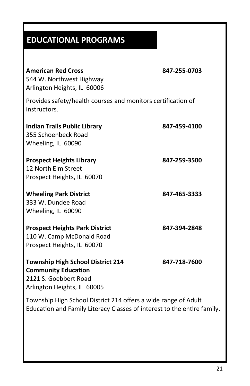# **EDUCATIONAL PROGRAMS**

| <b>American Red Cross</b><br>544 W. Northwest Highway<br>Arlington Heights, IL 60006                                                      | 847-255-0703 |
|-------------------------------------------------------------------------------------------------------------------------------------------|--------------|
| Provides safety/health courses and monitors certification of<br>instructors.                                                              |              |
| <b>Indian Trails Public Library</b><br>355 Schoenbeck Road<br>Wheeling, IL 60090                                                          | 847-459-4100 |
| <b>Prospect Heights Library</b><br>12 North Elm Street<br>Prospect Heights, IL 60070                                                      | 847-259-3500 |
| <b>Wheeling Park District</b><br>333 W. Dundee Road<br>Wheeling, IL 60090                                                                 | 847-465-3333 |
| <b>Prospect Heights Park District</b><br>110 W. Camp McDonald Road<br>Prospect Heights, IL 60070                                          | 847-394-2848 |
| <b>Township High School District 214</b><br><b>Community Education</b><br>2121 S. Goebbert Road<br>Arlington Heights, IL 60005            | 847-718-7600 |
| Township High School District 214 offers a wide range of Adult<br>Education and Family Literacy Classes of interest to the entire family. |              |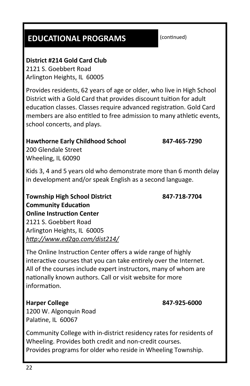# **EDUCATIONAL PROGRAMS**

**District #214 Gold Card Club**

2121 S. Goebbert Road Arlington Heights, IL 60005

Provides residents, 62 years of age or older, who live in High School District with a Gold Card that provides discount tuition for adult education classes. Classes require advanced registration. Gold Card members are also entitled to free admission to many athletic events, school concerts, and plays.

### **Hawthorne Early Childhood School 847-465-7290**

200 Glendale Street Wheeling, IL 60090

Kids 3, 4 and 5 years old who demonstrate more than 6 month delay in development and/or speak English as a second language.

**Township High School District 847-718-7704 Community Education Online Instruction Center** 2121 S. Goebbert Road Arlington Heights, IL 60005 *http://www.ed2go.com/dist214/*

The Online Instruction Center offers a wide range of highly interactive courses that you can take entirely over the Internet. All of the courses include expert instructors, many of whom are nationally known authors. Call or visit website for more information.

### **Harper College 847-925-6000**

1200 W. Algonquin Road

Palatine, IL 60067 Community College with in-district residency rates for residents of Wheeling. Provides both credit and non-credit courses.

Provides programs for older who reside in Wheeling Township.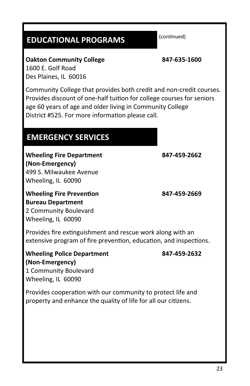# **EDUCATIONAL PROGRAMS**

(continued)

**Oakton Community College 847-635-1600** 1600 E. Golf Road Des Plaines, IL 60016

Community College that provides both credit and non-credit courses. Provides discount of one-half tuition for college courses for seniors age 60 years of age and older living in Community College District #525. For more information please call.

## **EMERGENCY SERVICES**

**Wheeling Fire Department 847-459-2662 (Non-Emergency)** 499 S. Milwaukee Avenue Wheeling, IL 60090

**Wheeling Fire Prevention 847-459-2669 Bureau Department** 2 Community Boulevard Wheeling, IL 60090

Provides fire extinguishment and rescue work along with an extensive program of fire prevention, education, and inspections.

### **Wheeling Police Department 847-459-2632 (Non-Emergency)**

1 Community Boulevard Wheeling, IL 60090

Provides cooperation with our community to protect life and property and enhance the quality of life for all our citizens.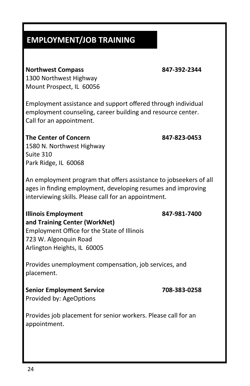# **EMPLOYMENT/JOB TRAINING**

### **Northwest Compass 847-392-2344**

1300 Northwest Highway Mount Prospect, IL 60056

Employment assistance and support offered through individual employment counseling, career building and resource center. Call for an appointment.

# **The Center of Concern 847-823-0453**

1580 N. Northwest Highway Suite 310 Park Ridge, IL 60068

An employment program that offers assistance to jobseekers of all ages in finding employment, developing resumes and improving interviewing skills. Please call for an appointment.

### **Illinois Employment 847-981-7400 and Training Center (WorkNet)**

Employment Office for the State of Illinois 723 W. Algonquin Road Arlington Heights, IL 60005

Provides unemployment compensation, job services, and placement.

**Senior Employment Service 708-383-0258** Provided by: AgeOptions

Provides job placement for senior workers. Please call for an appointment.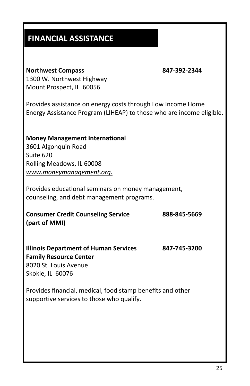# **FINANCIAL ASSISTANCE**

### **Northwest Compass 847-392-2344**

1300 W. Northwest Highway Mount Prospect, IL 60056

Provides assistance on energy costs through Low Income Home Energy Assistance Program (LIHEAP) to those who are income eligible.

### **Money Management International** 3601 Algonquin Road Suite 620 Rolling Meadows, IL 60008

*www.moneymanagement.org.*

Provides educational seminars on money management, counseling, and debt management programs.

**Consumer Credit Counseling Service 888-845-5669 (part of MMI)**

### **Illinois Department of Human Services 847-745-3200 Family Resource Center** 8020 St. Louis Avenue Skokie, IL 60076

Provides financial, medical, food stamp benefits and other supportive services to those who qualify.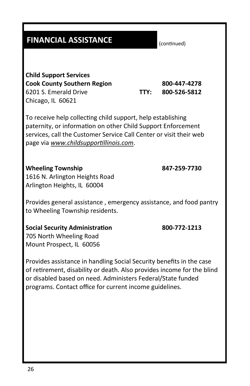## **FINANCIAL ASSISTANCE**

**Child Support Services Cook County Southern Region 800-447-4278** 6201 S. Emerald Drive **TTY: 800-526-5812** Chicago, IL 60621

To receive help collecting child support, help establishing paternity, or information on other Child Support Enforcement services, call the Customer Service Call Center or visit their web page via *www.childsupportillinois.com*.

### **Wheeling Township 847-259-7730**

1616 N. Arlington Heights Road Arlington Heights, IL 60004

Provides general assistance , emergency assistance, and food pantry to Wheeling Township residents.

### **Social Security Administration 800-772-1213**

705 North Wheeling Road Mount Prospect, IL 60056

Provides assistance in handling Social Security benefits in the case of retirement, disability or death. Also provides income for the blind or disabled based on need. Administers Federal/State funded programs. Contact office for current income guidelines.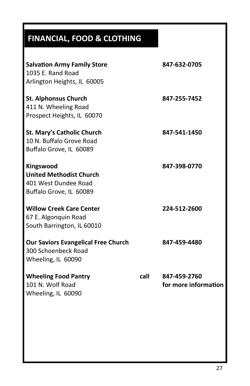# **FINANCIAL, FOOD & CLOTHING**

| <b>Salvation Army Family Store</b><br>1035 F. Rand Road<br>Arlington Heights, IL 60005         |      | 847-632-0705                         |
|------------------------------------------------------------------------------------------------|------|--------------------------------------|
| <b>St. Alphonsus Church</b><br>411 N. Wheeling Road<br>Prospect Heights, IL 60070              |      | 847-255-7452                         |
| <b>St. Mary's Catholic Church</b><br>10 N. Buffalo Grove Road<br>Buffalo Grove, IL 60089       |      | 847-541-1450                         |
| Kingswood<br><b>United Methodist Church</b><br>401 West Dundee Road<br>Buffalo Grove, IL 60089 |      | 847-398-0770                         |
| <b>Willow Creek Care Center</b><br>67 E. Algonquin Road<br>South Barrington, IL 60010          |      | 224-512-2600                         |
| <b>Our Saviors Evangelical Free Church</b><br>300 Schoenbeck Road<br>Wheeling, IL 60090        |      | 847-459-4480                         |
| <b>Wheeling Food Pantry</b><br>101 N. Wolf Road<br>Wheeling, IL 60090                          | call | 847-459-2760<br>for more information |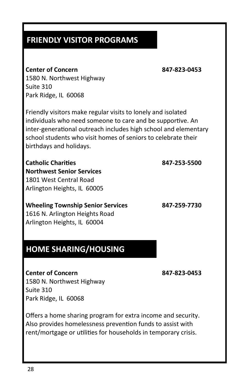# **FRIENDLY VISITOR PROGRAMS**

### **Center of Concern 847-823-0453**

1580 N. Northwest Highway Suite 310 Park Ridge, IL 60068

Friendly visitors make regular visits to lonely and isolated individuals who need someone to care and be supportive. An inter-generational outreach includes high school and elementary school students who visit homes of seniors to celebrate their birthdays and holidays.

**Catholic Charities 847-253-5500 Northwest Senior Services** 1801 West Central Road Arlington Heights, IL 60005

**Wheeling Township Senior Services 847-259-7730** 1616 N. Arlington Heights Road Arlington Heights, IL 60004

## **HOME SHARING/HOUSING**

**Center of Concern 847-823-0453** 1580 N. Northwest Highway Suite 310 Park Ridge, IL 60068

Offers a home sharing program for extra income and security. Also provides homelessness prevention funds to assist with rent/mortgage or utilities for households in temporary crisis.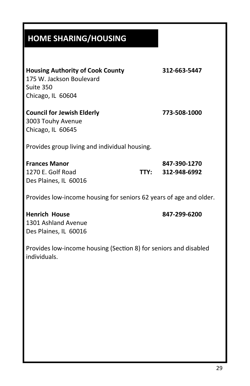# **HOME SHARING/HOUSING**

| <b>Housing Authority of Cook County</b>                            |      | 312-663-5447 |
|--------------------------------------------------------------------|------|--------------|
| 175 W. Jackson Boulevard                                           |      |              |
| Suite 350                                                          |      |              |
| Chicago, IL 60604                                                  |      |              |
| <b>Council for Jewish Elderly</b>                                  |      | 773-508-1000 |
| 3003 Touhy Avenue                                                  |      |              |
| Chicago, IL 60645                                                  |      |              |
| Provides group living and individual housing.                      |      |              |
| <b>Frances Manor</b>                                               |      | 847-390-1270 |
| 1270 E. Golf Road                                                  | TTY: | 312-948-6992 |
| Des Plaines, IL 60016                                              |      |              |
| Provides low-income housing for seniors 62 years of age and older. |      |              |
| <b>Henrich House</b>                                               |      | 847-299-6200 |
| 1301 Ashland Avenue                                                |      |              |
| Des Plaines, IL 60016                                              |      |              |

Provides low-income housing (Section 8) for seniors and disabled individuals.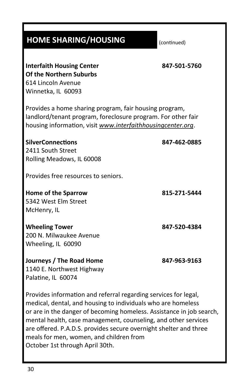# **HOME SHARING/HOUSING**

(continued)

| 847-501-5760                                                                                                                                                                          |
|---------------------------------------------------------------------------------------------------------------------------------------------------------------------------------------|
| Provides a home sharing program, fair housing program,<br>landlord/tenant program, foreclosure program. For other fair<br>housing information, visit www.interfaithhousingcenter.org. |
| 847-462-0885                                                                                                                                                                          |
|                                                                                                                                                                                       |
|                                                                                                                                                                                       |
|                                                                                                                                                                                       |
| 815-271-5444                                                                                                                                                                          |
|                                                                                                                                                                                       |
|                                                                                                                                                                                       |
| 847-520-4384                                                                                                                                                                          |
|                                                                                                                                                                                       |
|                                                                                                                                                                                       |
| 847-963-9163                                                                                                                                                                          |
|                                                                                                                                                                                       |

Provides information and referral regarding services for legal, medical, dental, and housing to individuals who are homeless or are in the danger of becoming homeless. Assistance in job search, mental health, case management, counseling, and other services are offered. P.A.D.S. provides secure overnight shelter and three meals for men, women, and children from October 1st through April 30th.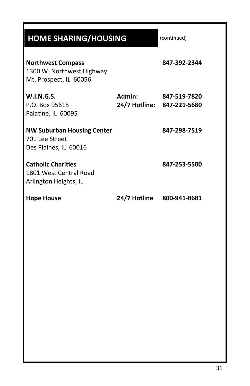# **HOME SHARING/HOUSING**

| <b>Northwest Compass</b><br>1300 W. Northwest Highway<br>Mt. Prospect, IL 60056 |                           | 847-392-2344                               |
|---------------------------------------------------------------------------------|---------------------------|--------------------------------------------|
| <b>W.I.N.G.S.</b><br>P.O. Box 95615<br>Palatine, IL 60095                       | Admin:                    | 847-519-7820<br>24/7 Hotline: 847-221-5680 |
| <b>NW Suburban Housing Center</b><br>701 Lee Street<br>Des Plaines, IL 60016    |                           | 847-298-7519                               |
| <b>Catholic Charities</b><br>1801 West Central Road<br>Arlington Heights, IL    |                           | 847-253-5500                               |
| <b>Hope House</b>                                                               | 24/7 Hotline 800-941-8681 |                                            |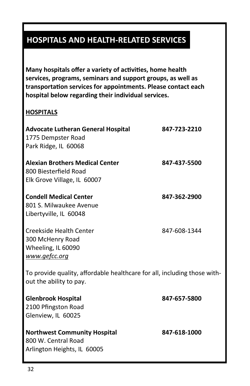# **HOSPITALS AND HEALTH-RELATED SERVICES**

**Many hospitals offer a variety of activities, home health services, programs, seminars and support groups, as well as transportation services for appointments. Please contact each hospital below regarding their individual services.**

### **HOSPITALS**

| <b>Advocate Lutheran General Hospital</b><br>1775 Dempster Road<br>Park Ridge, IL 60068             | 847-723-2210 |
|-----------------------------------------------------------------------------------------------------|--------------|
| <b>Alexian Brothers Medical Center</b><br>800 Biesterfield Road<br>Elk Grove Village, IL 60007      | 847-437-5500 |
| <b>Condell Medical Center</b><br>801 S. Milwaukee Avenue<br>Libertyville, IL 60048                  | 847-362-2900 |
| Creekside Health Center<br>300 McHenry Road<br>Wheeling, IL 60090<br>www.gefcc.org                  | 847-608-1344 |
| To provide quality, affordable healthcare for all, including those with-<br>out the ability to pay. |              |
| <b>Glenbrook Hospital</b><br>2100 Pfingston Road<br>Glenview, IL 60025                              | 847-657-5800 |
| <b>Northwest Community Hospital</b><br>800 W. Central Road<br>Arlington Heights, IL 60005           | 847-618-1000 |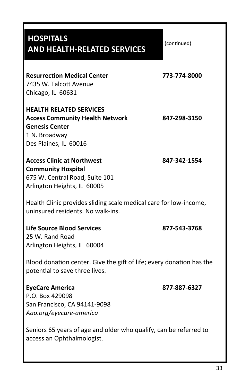| <b>HOSPITALS</b><br><b>AND HEALTH-RELATED SERVICES</b>                                                                                      | (continued)  |
|---------------------------------------------------------------------------------------------------------------------------------------------|--------------|
| <b>Resurrection Medical Center</b><br>7435 W. Talcott Avenue<br>Chicago, IL 60631                                                           | 773-774-8000 |
| <b>HEALTH RELATED SERVICES</b><br><b>Access Community Health Network</b><br><b>Genesis Center</b><br>1 N. Broadway<br>Des Plaines, IL 60016 | 847-298-3150 |
| <b>Access Clinic at Northwest</b><br><b>Community Hospital</b><br>675 W. Central Road, Suite 101<br>Arlington Heights, IL 60005             | 847-342-1554 |
| Health Clinic provides sliding scale medical care for low-income,<br>uninsured residents. No walk-ins.                                      |              |
| Life Source Blood Services<br>25 W. Rand Road<br>Arlington Heights, IL 60004                                                                | 877-543-3768 |
| Blood donation center. Give the gift of life; every donation has the<br>potential to save three lives.                                      |              |
| <b>EyeCare America</b><br>P.O. Box 429098<br>San Francisco, CA 94141-9098<br>Aao.org/eyecare-america                                        | 877-887-6327 |
| Seniors 65 years of age and older who qualify, can be referred to<br>access an Ophthalmologist.                                             |              |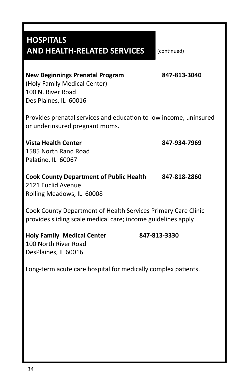# **HOSPITALS AND HEALTH-RELATED SERVICES**

(continued)

## **New Beginnings Prenatal Program 847-813-3040** (Holy Family Medical Center)

100 N. River Road Des Plaines, IL 60016

Provides prenatal services and education to low income, uninsured or underinsured pregnant moms.

**Vista Health Center 847-934-7969** 1585 North Rand Road Palatine, IL 60067

**Cook County Department of Public Health 847-818-2860** 2121 Euclid Avenue Rolling Meadows, IL 60008

Cook County Department of Health Services Primary Care Clinic provides sliding scale medical care; income guidelines apply

| <b>Holy Family Medical Center</b> | 847-813-3330 |
|-----------------------------------|--------------|
| 100 North River Road              |              |
| DesPlaines, IL 60016              |              |

Long-term acute care hospital for medically complex patients.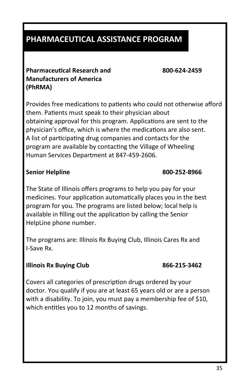# **PHARMACEUTICAL ASSISTANCE PROGRAM**

### **Pharmaceutical Research and 800-624-2459 Manufacturers of America (PhRMA)**

Provides free medications to patients who could not otherwise afford them. Patients must speak to their physician about obtaining approval for this program. Applications are sent to the physician's office, which is where the medications are also sent. A list of participating drug companies and contacts for the program are available by contacting the Village of Wheeling Human Services Department at 847-459-2606.

### **Senior Helpline 800-252-8966**

The State of Illinois offers programs to help you pay for your medicines. Your application automatically places you in the best program for you. The programs are listed below; local help is available in filling out the application by calling the Senior HelpLine phone number.

The programs are: Illinois Rx Buying Club, Illinois Cares Rx and I-Save Rx.

### **Illinois Rx Buying Club 866-215-3462**

Covers all categories of prescription drugs ordered by your doctor. You qualify if you are at least 65 years old or are a person with a disability. To join, you must pay a membership fee of \$10, which entitles you to 12 months of savings.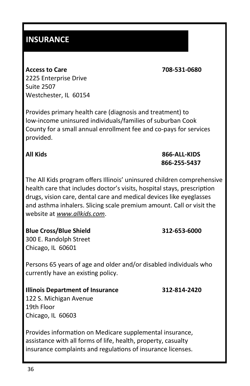## **INSURANCE**

**Access to Care 708-531-0680** 2225 Enterprise Drive Suite 2507 Westchester, IL 60154

Provides primary health care (diagnosis and treatment) to low-income uninsured individuals/families of suburban Cook County for a small annual enrollment fee and co-pays for services provided.

The All Kids program offers Illinois' uninsured children comprehensive health care that includes doctor's visits, hospital stays, prescription drugs, vision care, dental care and medical devices like eyeglasses and asthma inhalers. Slicing scale premium amount. Call or visit the website at *www.allkids.com*.

**Blue Cross/Blue Shield 312-653-6000** 300 E. Randolph Street Chicago, IL 60601

Persons 65 years of age and older and/or disabled individuals who currently have an existing policy.

### **Illinois Department of Insurance 312-814-2420**

122 S. Michigan Avenue 19th Floor Chicago, IL 60603

Provides information on Medicare supplemental insurance, assistance with all forms of life, health, property, casualty insurance complaints and regulations of insurance licenses.

**All Kids 866-ALL-KIDS 866-255-5437**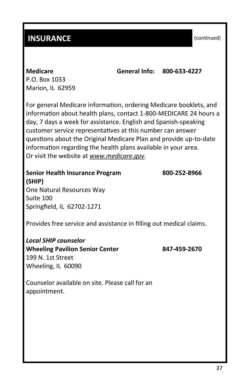## **INSURANCE**

(continued)

**Medicare General Info: 800-633-4227**

P.O. Box 1033 Marion, IL 62959

For general Medicare information, ordering Medicare booklets, and information about health plans, contact 1-800-MEDICARE 24 hours a day, 7 days a week for assistance. English and Spanish-speaking customer service representatives at this number can answer questions about the Original Medicare Plan and provide up-to-date information regarding the health plans available in your area. Or visit the website at *www.medicare.gov*.

**Senior Health Insurance Program 800-252-8966 (SHIP)** One Natural Resources Way

Suite 100 Springfield, IL 62702-1271

Provides free service and assistance in filling out medical claims.

*Local SHIP counselor* **Wheeling Pavilion Senior Center 847-459-2670** 199 N. 1st Street Wheeling, IL 60090

Counselor available on site. Please call for an appointment.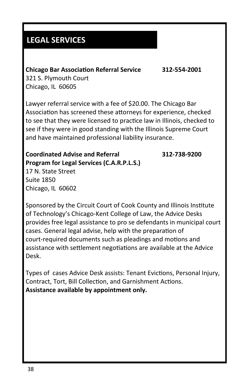# **LEGAL SERVICES**

### **Chicago Bar Association Referral Service 312-554-2001**

321 S. Plymouth Court Chicago, IL 60605

Lawyer referral service with a fee of \$20.00. The Chicago Bar Association has screened these attorneys for experience, checked to see that they were licensed to practice law in Illinois, checked to see if they were in good standing with the Illinois Supreme Court and have maintained professional liability insurance.

### **Coordinated Advise and Referral 312-738-9200 Program for Legal Services (C.A.R.P.L.S.)** 17 N. State Street

Suite 1850 Chicago, IL 60602

Sponsored by the Circuit Court of Cook County and Illinois Institute of Technology's Chicago-Kent College of Law, the Advice Desks provides free legal assistance to pro se defendants in municipal court cases. General legal advise, help with the preparation of court-required documents such as pleadings and motions and assistance with settlement negotiations are available at the Advice Desk.

Types of cases Advice Desk assists: Tenant Evictions, Personal Injury, Contract, Tort, Bill Collection, and Garnishment Actions. **Assistance available by appointment only.**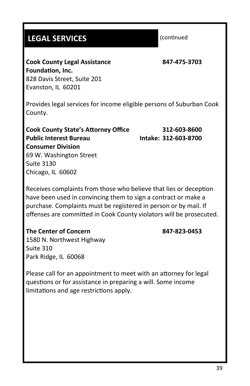# **LEGAL SERVICES**

(continued

**Cook County Legal Assistance 847-475-3703 Foundation, Inc.** 828 Davis Street, Suite 201 Evanston, IL 60201

Provides legal services for income eligible persons of Suburban Cook County.

**Cook County State's Attorney Office 312-603-8600 Public Interest Bureau Intake: 312-603-8700 Consumer Division** 69 W. Washington Street Suite 3130 Chicago, IL 60602

Receives complaints from those who believe that lies or deception have been used in convincing them to sign a contract or make a purchase. Complaints must be registered in person or by mail. If offenses are committed in Cook County violators will be prosecuted.

### **The Center of Concern 847-823-0453**

1580 N. Northwest Highway Suite 310 Park Ridge, IL 60068

Please call for an appointment to meet with an attorney for legal questions or for assistance in preparing a will. Some income limitations and age restrictions apply.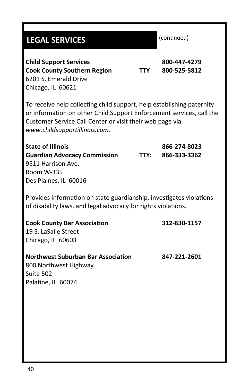# (continued) **Child Support Services 800-447-4279 Cook County Southern Region TTY 800-525-5812** 6201 S. Emerald Drive Chicago, IL 60621 To receive help collecting child support, help establishing paternity or information on other Child Support Enforcement services, call the Customer Service Call Center or visit their web page via *www.childsupportillinois.com*. **State of Illinois 866-274-8023 Guardian Advocacy Commission TTY: 866-333-3362** 9511 Harrison Ave. Room W-335 Des Plaines, IL 60016 Provides information on state guardianship, investigates violations of disability laws, and legal advocacy for rights violations. **Cook County Bar Association 312-630-1157** 19 S. LaSalle Street Chicago, IL 60603 **Northwest Suburban Bar Association 847-221-2601** 800 Northwest Highway Suite 502 Palatine, IL 60074 **LEGAL SERVICES**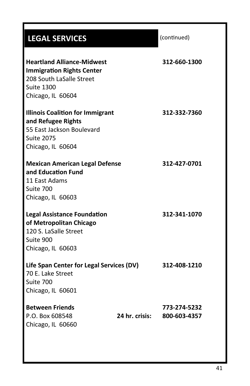# (continued) **Heartland Alliance-Midwest 312-660-1300 Immigration Rights Center** 208 South LaSalle Street Suite 1300 Chicago, IL 60604 **Illinois Coalition for Immigrant 312-332-7360 and Refugee Rights** 55 East Jackson Boulevard Suite 2075 Chicago, IL 60604 **Mexican American Legal Defense 312-427-0701 and Education Fund** 11 East Adams Suite 700 Chicago, IL 60603 **Legal Assistance Foundation 312-341-1070 of Metropolitan Chicago** 120 S. LaSalle Street Suite 900 Chicago, IL 60603 **Life Span Center for Legal Services (DV) 312-408-1210** 70 E. Lake Street Suite 700 Chicago, IL 60601 **Between Friends 773-274-5232** P.O. Box 608548 **24 hr. crisis: 800-603-4357** Chicago, IL 60660 **LEGAL SERVICES**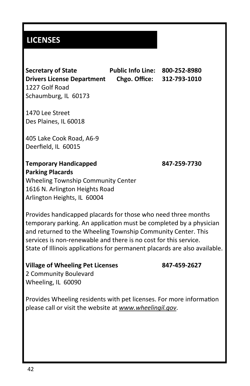## **LICENSES**

**Secretary of State Public Info Line: 800-252-8980 Drivers License Department Chgo. Office: 312-793-1010** 1227 Golf Road Schaumburg, IL 60173

1470 Lee Street Des Plaines, IL 60018

405 Lake Cook Road, A6-9 Deerfield, IL 60015

### **Temporary Handicapped 847-259-7730 Parking Placards**

Wheeling Township Community Center 1616 N. Arlington Heights Road Arlington Heights, IL 60004

Provides handicapped placards for those who need three months temporary parking. An application must be completed by a physician and returned to the Wheeling Township Community Center. This services is non-renewable and there is no cost for this service. State of Illinois applications for permanent placards are also available.

### **Village of Wheeling Pet Licenses 847-459-2627**

2 Community Boulevard Wheeling, IL 60090

Provides Wheeling residents with pet licenses. For more information please call or visit the website at *www.wheelingil.gov*.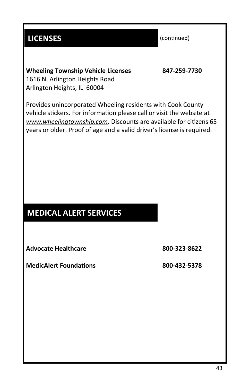# **LICENSES**

(continued)

**Wheeling Township Vehicle Licenses 847-259-7730** 1616 N. Arlington Heights Road Arlington Heights, IL 60004

Provides unincorporated Wheeling residents with Cook County vehicle stickers. For information please call or visit the website at *www.wheelingtownship.com*. Discounts are available for citizens 65 years or older. Proof of age and a valid driver's license is required.

# **MEDICAL ALERT SERVICES**

**Advocate Healthcare 800-323-8622**

**MedicAlert Foundations 800-432-5378**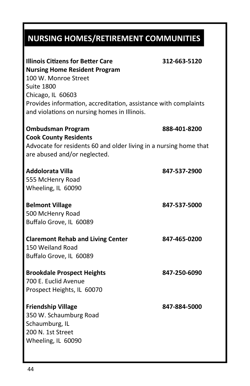# **NURSING HOMES/RETIREMENT COMMUNITIES**

| <b>Illinois Citizens for Better Care</b>                          | 312-663-5120 |
|-------------------------------------------------------------------|--------------|
| <b>Nursing Home Resident Program</b>                              |              |
| 100 W. Monroe Street                                              |              |
| <b>Suite 1800</b>                                                 |              |
| Chicago, IL 60603                                                 |              |
| Provides information, accreditation, assistance with complaints   |              |
| and violations on nursing homes in Illinois.                      |              |
| <b>Ombudsman Program</b>                                          | 888-401-8200 |
| <b>Cook County Residents</b>                                      |              |
| Advocate for residents 60 and older living in a nursing home that |              |
| are abused and/or neglected.                                      |              |
| <b>Addolorata Villa</b>                                           | 847-537-2900 |
| 555 McHenry Road                                                  |              |
| Wheeling, IL 60090                                                |              |
| <b>Belmont Village</b>                                            | 847-537-5000 |
| 500 McHenry Road                                                  |              |
| Buffalo Grove, IL 60089                                           |              |
| <b>Claremont Rehab and Living Center</b>                          | 847-465-0200 |
| 150 Weiland Road                                                  |              |
| Buffalo Grove, IL 60089                                           |              |
| <b>Brookdale Prospect Heights</b>                                 | 847-250-6090 |
| 700 E. Euclid Avenue                                              |              |
| Prospect Heights, IL 60070                                        |              |
| <b>Friendship Village</b>                                         | 847-884-5000 |
| 350 W. Schaumburg Road                                            |              |
| Schaumburg, IL                                                    |              |
| 200 N. 1st Street                                                 |              |
| Wheeling, IL 60090                                                |              |
|                                                                   |              |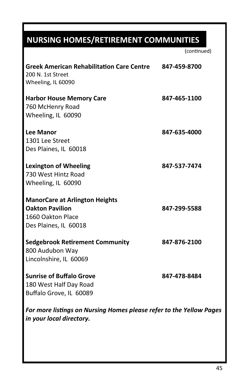# **NURSING HOMES/RETIREMENT COMMUNITIES**

| <b>Greek American Rehabilitation Care Centre</b><br>200 N. 1st Street<br>Wheeling, IL 60090                   | 847-459-8700 |
|---------------------------------------------------------------------------------------------------------------|--------------|
| <b>Harbor House Memory Care</b><br>760 McHenry Road<br>Wheeling, IL 60090                                     | 847-465-1100 |
| <b>Lee Manor</b><br>1301 Lee Street<br>Des Plaines, IL 60018                                                  | 847-635-4000 |
| <b>Lexington of Wheeling</b><br>730 West Hintz Road<br>Wheeling, IL 60090                                     | 847-537-7474 |
| <b>ManorCare at Arlington Heights</b><br><b>Oakton Pavilion</b><br>1660 Oakton Place<br>Des Plaines, IL 60018 | 847-299-5588 |
| <b>Sedgebrook Retirement Community</b><br>800 Audubon Way<br>Lincolnshire, IL 60069                           | 847-876-2100 |
| <b>Sunrise of Buffalo Grove</b><br>180 West Half Day Road<br>Buffalo Grove, IL 60089                          | 847-478-8484 |
| For more listings on Nursing Homes please refer to the Yellow Pages<br>in your local directory.               |              |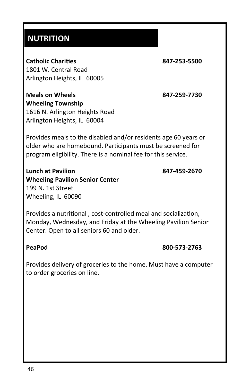## **NUTRITION**

**Catholic Charities 847-253-5500** 1801 W. Central Road Arlington Heights, IL 60005

**Wheeling Township** 1616 N. Arlington Heights Road Arlington Heights, IL 60004

**Meals on Wheels 847-259-7730**

Provides meals to the disabled and/or residents age 60 years or older who are homebound. Participants must be screened for program eligibility. There is a nominal fee for this service.

**Lunch at Pavilion 847-459-2670 Wheeling Pavilion Senior Center** 199 N. 1st Street Wheeling, IL 60090

Provides a nutritional , cost-controlled meal and socialization, Monday, Wednesday, and Friday at the Wheeling Pavilion Senior Center. Open to all seniors 60 and older.

### **PeaPod 800-573-2763**

Provides delivery of groceries to the home. Must have a computer to order groceries on line.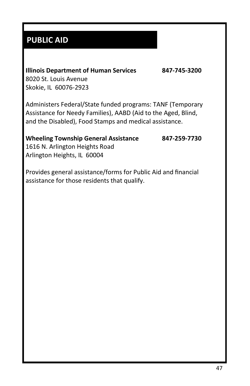# **PUBLIC AID**

### **Illinois Department of Human Services 847-745-3200**

8020 St. Louis Avenue Skokie, IL 60076-2923

Administers Federal/State funded programs: TANF (Temporary Assistance for Needy Families), AABD (Aid to the Aged, Blind, and the Disabled), Food Stamps and medical assistance.

### **Wheeling Township General Assistance 847-259-7730**

1616 N. Arlington Heights Road Arlington Heights, IL 60004

Provides general assistance/forms for Public Aid and financial assistance for those residents that qualify.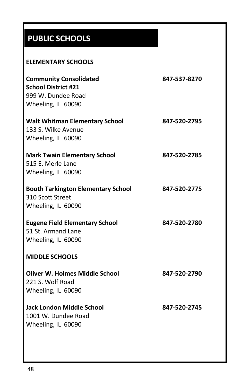# **PUBLIC SCHOOLS**

### **ELEMENTARY SCHOOLS**

| <b>Community Consolidated</b><br><b>School District #21</b><br>999 W. Dundee Road<br>Wheeling, IL 60090 | 847-537-8270 |
|---------------------------------------------------------------------------------------------------------|--------------|
| <b>Walt Whitman Elementary School</b><br>133 S. Wilke Avenue<br>Wheeling, IL 60090                      | 847-520-2795 |
| <b>Mark Twain Elementary School</b><br>515 E. Merle Lane<br>Wheeling, IL 60090                          | 847-520-2785 |
| <b>Booth Tarkington Elementary School</b><br>310 Scott Street<br>Wheeling, IL 60090                     | 847-520-2775 |
| <b>Eugene Field Elementary School</b><br>51 St. Armand Lane<br>Wheeling, IL 60090                       | 847-520-2780 |
| <b>MIDDLE SCHOOLS</b>                                                                                   |              |
| Oliver W. Holmes Middle School<br>221 S. Wolf Road<br>Wheeling, IL 60090                                | 847-520-2790 |
| Jack London Middle School<br>1001 W. Dundee Road<br>Wheeling, IL 60090                                  | 847-520-2745 |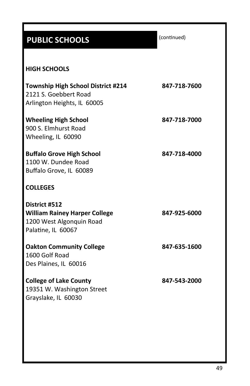# **PUBLIC SCHOOLS**

(continued)

# **HIGH SCHOOLS Township High School District #214 847-718-7600**

2121 S. Goebbert Road Arlington Heights, IL 60005

**Wheeling High School 847-718-7000** 900 S. Elmhurst Road Wheeling, IL 60090

**Buffalo Grove High School 847-718-4000** 1100 W. Dundee Road Buffalo Grove, IL 60089

### **COLLEGES**

| District #512                        |              |
|--------------------------------------|--------------|
| <b>William Rainey Harper College</b> | 847-925-6000 |
| 1200 West Algonquin Road             |              |
| Palatine, IL 60067                   |              |
|                                      |              |

**Oakton Community College 847-635-1600** 1600 Golf Road Des Plaines, IL 60016

**College of Lake County 847-543-2000** 19351 W. Washington Street Grayslake, IL 60030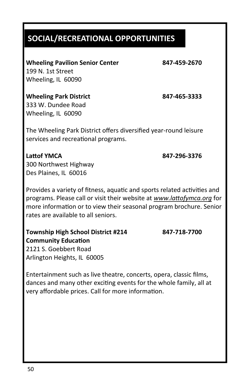# **SOCIAL/RECREATIONAL OPPORTUNITIES**

**Wheeling Pavilion Senior Center 847-459-2670** 199 N. 1st Street Wheeling, IL 60090

**Wheeling Park District 847-465-3333** 333 W. Dundee Road Wheeling, IL 60090

The Wheeling Park District offers diversified year-round leisure services and recreational programs.

# **Lattof YMCA 847-296-3376**

300 Northwest Highway Des Plaines, IL 60016

Provides a variety of fitness, aquatic and sports related activities and programs. Please call or visit their website at *www.lattofymca.org* for more information or to view their seasonal program brochure. Senior rates are available to all seniors.

**Township High School District #214 847-718-7700 Community Education** 2121 S. Goebbert Road Arlington Heights, IL 60005

Entertainment such as live theatre, concerts, opera, classic films, dances and many other exciting events for the whole family, all at very affordable prices. Call for more information.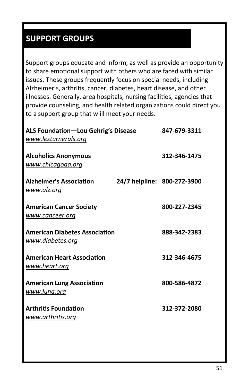# **SUPPORT GROUPS**

Support groups educate and inform, as well as provide an opportunity to share emotional support with others who are faced with similar issues. These groups frequently focus on special needs, including Alzheimer's, arthritis, cancer, diabetes, heart disease, and other illnesses. Generally, area hospitals, nursing facilities, agencies that provide counseling, and health related organizations could direct you to a support group that w ill meet your needs.

| <b>ALS Foundation-Lou Gehrig's Disease</b><br>www.lesturnerals.org | 847-679-3311                |
|--------------------------------------------------------------------|-----------------------------|
| <b>Alcoholics Anonymous</b><br>www.chicagoaa.org                   | 312-346-1475                |
| <b>Alzheimer's Association</b><br><u>www.alz.org</u>               | 24/7 helpline: 800-272-3900 |
| <b>American Cancer Society</b><br>www.canceer.org                  | 800-227-2345                |
| <b>American Diabetes Association</b><br>www.diabetes.org           | 888-342-2383                |
| <b>American Heart Association</b><br><u>www.heart.org</u>          | 312-346-4675                |
| <b>American Lung Association</b><br>www.lung.org                   | 800-586-4872                |
| <b>Arthritis Foundation</b><br>www.arthritis.org                   | 312-372-2080                |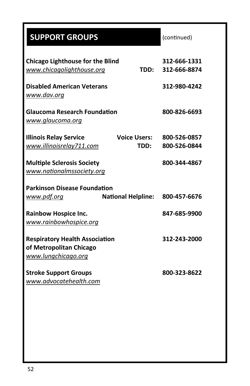| <b>SUPPORT GROUPS</b>                                                                    | (continued)                  |
|------------------------------------------------------------------------------------------|------------------------------|
| <b>Chicago Lighthouse for the Blind</b><br>www.chicagolighthouse.org<br>TDD:             | 312-666-1331<br>312-666-8874 |
| <b>Disabled American Veterans</b><br>www.dav.org                                         | 312-980-4242                 |
| <b>Glaucoma Research Foundation</b><br>www.glaucoma.org                                  | 800-826-6693                 |
| <b>Illinois Relay Service</b><br><b>Voice Users:</b><br>www.illinoisrelay711.com<br>TDD: | 800-526-0857<br>800-526-0844 |
| <b>Multiple Sclerosis Society</b><br>www.nationalmssociety.org                           | 800-344-4867                 |
| <b>Parkinson Disease Foundation</b>                                                      |                              |
| <b>National Helpline:</b><br>www.pdf.org                                                 | 800-457-6676                 |
| <b>Rainbow Hospice Inc.</b><br>www.rainbowhospice.org                                    | 847-685-9900                 |
| <b>Respiratory Health Association</b><br>of Metropolitan Chicago<br>www.lungchicago.org  | 312-243-2000                 |
| <b>Stroke Support Groups</b><br>www.advocatehealth.com                                   | 800-323-8622                 |
|                                                                                          |                              |
|                                                                                          |                              |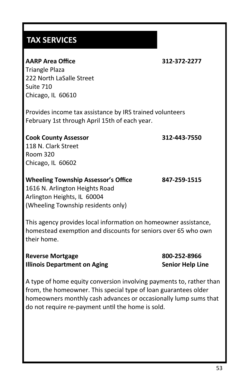## **TAX SERVICES**

### **AARP Area Office 312-372-2277**

Triangle Plaza 222 North LaSalle Street Suite 710 Chicago, IL 60610

Provides income tax assistance by IRS trained volunteers February 1st through April 15th of each year.

### **Cook County Assessor 312-443-7550** 118 N. Clark Street Room 320 Chicago, IL 60602

### **Wheeling Township Assessor's Office 847-259-1515**

1616 N. Arlington Heights Road Arlington Heights, IL 60004 (Wheeling Township residents only)

This agency provides local information on homeowner assistance, homestead exemption and discounts for seniors over 65 who own their home.

| <b>Reverse Mortgage</b>             |
|-------------------------------------|
| <b>Illinois Department on Aging</b> |

**Reverse Mortgage 800-252-8966 Senior Help Line** 

A type of home equity conversion involving payments to, rather than from, the homeowner. This special type of loan guarantees older homeowners monthly cash advances or occasionally lump sums that do not require re-payment until the home is sold.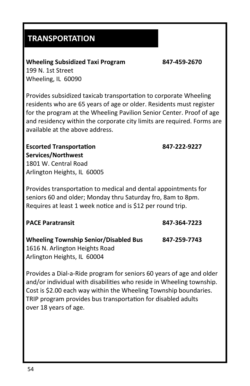## **TRANSPORTATION**

**Wheeling Subsidized Taxi Program 847-459-2670** 199 N. 1st Street

Wheeling, IL 60090

Provides subsidized taxicab transportation to corporate Wheeling residents who are 65 years of age or older. Residents must register for the program at the Wheeling Pavilion Senior Center. Proof of age and residency within the corporate city limits are required. Forms are available at the above address.

**Escorted Transportation 847-222-9227**

**Services/Northwest** 1801 W. Central Road Arlington Heights, IL 60005

Provides transportation to medical and dental appointments for seniors 60 and older; Monday thru Saturday fro, 8am to 8pm. Requires at least 1 week notice and is \$12 per round trip.

**PACE Paratransit 847-364-7223**

**Wheeling Township Senior/Disabled Bus 847-259-7743** 1616 N. Arlington Heights Road

Arlington Heights, IL 60004

Provides a Dial-a-Ride program for seniors 60 years of age and older and/or individual with disabilities who reside in Wheeling township. Cost is \$2.00 each way within the Wheeling Township boundaries. TRIP program provides bus transportation for disabled adults over 18 years of age.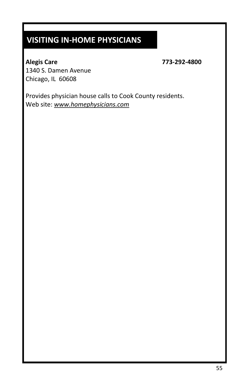# **VISITING IN-HOME PHYSICIANS**

**Alegis Care 773-292-4800**

1340 S. Damen Avenue Chicago, IL 60608

Provides physician house calls to Cook County residents. Web site: *www.homephysicians.com*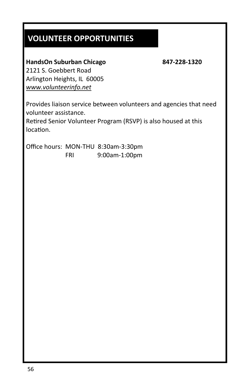# **VOLUNTEER OPPORTUNITIES**

### **HandsOn Suburban Chicago 847-228-1320**

2121 S. Goebbert Road Arlington Heights, IL 60005 *www.volunteerinfo.net*

Provides liaison service between volunteers and agencies that need volunteer assistance.

Retired Senior Volunteer Program (RSVP) is also housed at this location.

Office hours: MON-THU 8:30am-3:30pm FRI 9:00am-1:00pm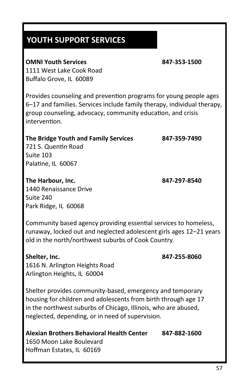## **YOUTH SUPPORT SERVICES**

### **OMNI Youth Services 847-353-1500**

1111 West Lake Cook Road Buffalo Grove, IL 60089

Provides counseling and prevention programs for young people ages 6–17 and families. Services include family therapy, individual therapy, group counseling, advocacy, community education, and crisis intervention.

### **The Bridge Youth and Family Services 847-359-7490**

721 S. Quentin Road Suite 103 Palatine, IL 60067

### **The Harbour, Inc. 847-297-8540**

1440 Renaissance Drive Suite 240 Park Ridge, IL 60068

Community based agency providing essential services to homeless, runaway, locked out and neglected adolescent girls ages 12–21 years old in the north/northwest suburbs of Cook Country.

**Shelter, Inc. 847-255-8060**

1616 N. Arlington Heights Road Arlington Heights, IL 60004

Shelter provides community-based, emergency and temporary housing for children and adolescents from birth through age 17 in the northwest suburbs of Chicago, Illinois, who are abused, neglected, depending, or in need of supervision.

### **Alexian Brothers Behavioral Health Center 847-882-1600**

1650 Moon Lake Boulevard Hoffman Estates, IL 60169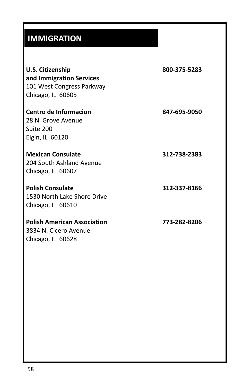# **IMMIGRATION**

| U.S. Citizenship<br>and Immigration Services<br>101 West Congress Parkway<br>Chicago, IL 60605 | 800-375-5283 |
|------------------------------------------------------------------------------------------------|--------------|
| Centro de Informacion<br>28 N. Grove Avenue<br>Suite 200<br>Elgin, IL 60120                    | 847-695-9050 |
| <b>Mexican Consulate</b><br>204 South Ashland Avenue<br>Chicago, IL 60607                      | 312-738-2383 |
| <b>Polish Consulate</b><br>1530 North Lake Shore Drive<br>Chicago, IL 60610                    | 312-337-8166 |
| <b>Polish American Association</b><br>3834 N. Cicero Avenue<br>Chicago, IL 60628               | 773-282-8206 |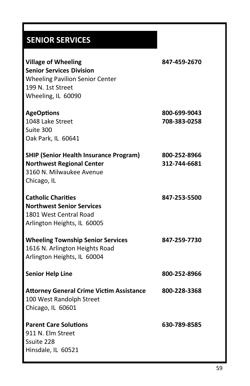# **SENIOR SERVICES**

| <b>Village of Wheeling</b><br><b>Senior Services Division</b><br><b>Wheeling Pavilion Senior Center</b><br>199 N. 1st Street<br>Wheeling, IL 60090 | 847-459-2670                 |
|----------------------------------------------------------------------------------------------------------------------------------------------------|------------------------------|
| <b>AgeOptions</b><br>1048 Lake Street<br>Suite 300<br>Oak Park, IL 60641                                                                           | 800-699-9043<br>708-383-0258 |
| <b>SHIP (Senior Health Insurance Program)</b><br><b>Northwest Regional Center</b><br>3160 N. Milwaukee Avenue<br>Chicago, IL                       | 800-252-8966<br>312-744-6681 |
| <b>Catholic Charities</b><br><b>Northwest Senior Services</b><br>1801 West Central Road<br>Arlington Heights, IL 60005                             | 847-253-5500                 |
| <b>Wheeling Township Senior Services</b><br>1616 N. Arlington Heights Road<br>Arlington Heights, IL 60004                                          | 847-259-7730                 |
| <b>Senior Help Line</b>                                                                                                                            | 800-252-8966                 |
| <b>Attorney General Crime Victim Assistance</b><br>100 West Randolph Street<br>Chicago, IL 60601                                                   | 800-228-3368                 |
| <b>Parent Care Solutions</b><br>911 N. Elm Street<br>Ssuite 228<br>Hinsdale, IL 60521                                                              | 630-789-8585                 |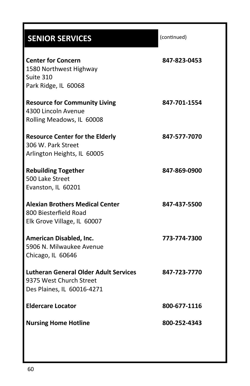# **SENIOR SERVICES**

| <b>Center for Concern</b><br>1580 Northwest Highway<br>Suite 310<br>Park Ridge, IL 60068              | 847-823-0453 |
|-------------------------------------------------------------------------------------------------------|--------------|
| <b>Resource for Community Living</b><br>4300 Lincoln Avenue<br>Rolling Meadows, IL 60008              | 847-701-1554 |
| <b>Resource Center for the Elderly</b><br>306 W. Park Street<br>Arlington Heights, IL 60005           | 847-577-7070 |
| <b>Rebuilding Together</b><br>500 Lake Street<br>Evanston, IL 60201                                   | 847-869-0900 |
| <b>Alexian Brothers Medical Center</b><br>800 Biesterfield Road<br>Elk Grove Village, IL 60007        | 847-437-5500 |
| American Disabled, Inc.<br>5906 N. Milwaukee Avenue<br>Chicago, IL 60646                              | 773-774-7300 |
| <b>Lutheran General Older Adult Services</b><br>9375 West Church Street<br>Des Plaines, IL 60016-4271 | 847-723-7770 |
| <b>Eldercare Locator</b>                                                                              | 800-677-1116 |
| <b>Nursing Home Hotline</b>                                                                           | 800-252-4343 |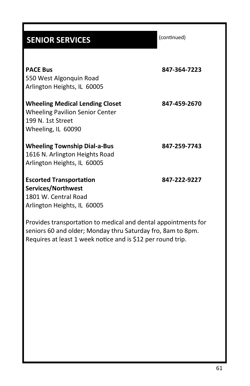| <b>SENIOR SERVICES</b>                 | (continued)  |
|----------------------------------------|--------------|
|                                        |              |
| <b>PACE Bus</b>                        | 847-364-7223 |
| 550 West Algonquin Road                |              |
| Arlington Heights, IL 60005            |              |
| <b>Wheeling Medical Lending Closet</b> | 847-459-2670 |
| <b>Wheeling Pavilion Senior Center</b> |              |
| 199 N. 1st Street                      |              |
| Wheeling, IL 60090                     |              |
| <b>Wheeling Township Dial-a-Bus</b>    | 847-259-7743 |
| 1616 N. Arlington Heights Road         |              |
| Arlington Heights, IL 60005            |              |
| <b>Escorted Transportation</b>         | 847-222-9227 |
| Services/Northwest                     |              |
| 1801 W. Central Road                   |              |
| Arlington Heights, IL 60005            |              |

Provides transportation to medical and dental appointments for seniors 60 and older; Monday thru Saturday fro, 8am to 8pm. Requires at least 1 week notice and is \$12 per round trip.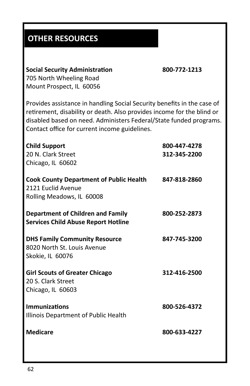# **OTHER RESOURCES**

| 705 North Wheeling Road<br>Mount Prospect, IL 60056                                                                                                                                                                                                                      |                              |
|--------------------------------------------------------------------------------------------------------------------------------------------------------------------------------------------------------------------------------------------------------------------------|------------------------------|
| Provides assistance in handling Social Security benefits in the case of<br>retirement, disability or death. Also provides income for the blind or<br>disabled based on need. Administers Federal/State funded programs.<br>Contact office for current income guidelines. |                              |
| <b>Child Support</b><br>20 N. Clark Street<br>Chicago, IL 60602                                                                                                                                                                                                          | 800-447-4278<br>312-345-2200 |
| <b>Cook County Department of Public Health</b><br>2121 Euclid Avenue<br>Rolling Meadows, IL 60008                                                                                                                                                                        | 847-818-2860                 |
| <b>Department of Children and Family</b><br><b>Services Child Abuse Report Hotline</b>                                                                                                                                                                                   | 800-252-2873                 |
| <b>DHS Family Community Resource</b><br>8020 North St. Louis Avenue<br>Skokie, IL 60076                                                                                                                                                                                  | 847-745-3200                 |
| <b>Girl Scouts of Greater Chicago</b><br>20 S. Clark Street<br>Chicago, IL 60603                                                                                                                                                                                         | 312-416-2500                 |
| <b>Immunizations</b><br>Illinois Department of Public Health                                                                                                                                                                                                             | 800-526-4372                 |
| <b>Medicare</b>                                                                                                                                                                                                                                                          | 800-633-4227                 |

**Social Security Administration 800-772-1213**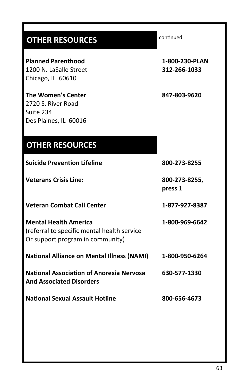## **OTHER RESOURCES**

**Planned Parenthood 1-800-230-PLAN** 1200 N. LaSalle Street **312-266-1033** Chicago, IL 60610

**The Women's Center 847-803-9620** 2720 S. River Road Suite 234 Des Plaines, IL 60016

**OTHER RESOURCES**

**Suicide Prevention Lifeline 800-273-8255 Veterans Crisis Line: 800-273-8255, press 1 Veteran Combat Call Center 1-877-927-8387 Mental Health America 1-800-969-6642** (referral to specific mental health service Or support program in community) **National Alliance on Mental Illness (NAMI) 1-800-950-6264 National Association of Anorexia Nervosa 630-577-1330 And Associated Disorders National Sexual Assault Hotline 800-656-4673**

continued